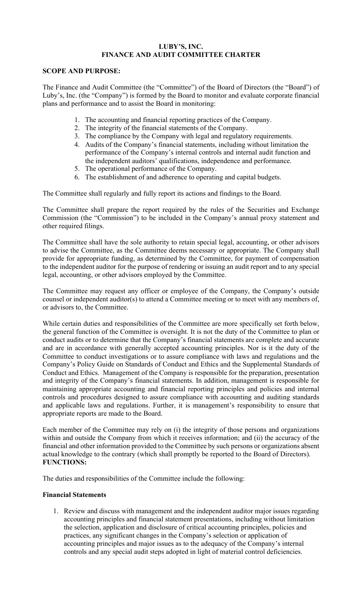# **LUBY'S, INC. FINANCE AND AUDIT COMMITTEE CHARTER**

#### **SCOPE AND PURPOSE:**

The Finance and Audit Committee (the "Committee") of the Board of Directors (the "Board") of Luby's, Inc. (the "Company") is formed by the Board to monitor and evaluate corporate financial plans and performance and to assist the Board in monitoring:

- 1. The accounting and financial reporting practices of the Company.
- 2. The integrity of the financial statements of the Company.
- 3. The compliance by the Company with legal and regulatory requirements.
- 4. Audits of the Company's financial statements, including without limitation the performance of the Company's internal controls and internal audit function and the independent auditors' qualifications, independence and performance.
- 5. The operational performance of the Company.
- 6. The establishment of and adherence to operating and capital budgets.

The Committee shall regularly and fully report its actions and findings to the Board.

The Committee shall prepare the report required by the rules of the Securities and Exchange Commission (the "Commission") to be included in the Company's annual proxy statement and other required filings.

The Committee shall have the sole authority to retain special legal, accounting, or other advisors to advise the Committee, as the Committee deems necessary or appropriate. The Company shall provide for appropriate funding, as determined by the Committee, for payment of compensation to the independent auditor for the purpose of rendering or issuing an audit report and to any special legal, accounting, or other advisors employed by the Committee.

The Committee may request any officer or employee of the Company, the Company's outside counsel or independent auditor(s) to attend a Committee meeting or to meet with any members of, or advisors to, the Committee.

While certain duties and responsibilities of the Committee are more specifically set forth below, the general function of the Committee is oversight. It is not the duty of the Committee to plan or conduct audits or to determine that the Company's financial statements are complete and accurate and are in accordance with generally accepted accounting principles. Nor is it the duty of the Committee to conduct investigations or to assure compliance with laws and regulations and the Company's Policy Guide on Standards of Conduct and Ethics and the Supplemental Standards of Conduct and Ethics. Management of the Company is responsible for the preparation, presentation and integrity of the Company's financial statements. In addition, management is responsible for maintaining appropriate accounting and financial reporting principles and policies and internal controls and procedures designed to assure compliance with accounting and auditing standards and applicable laws and regulations. Further, it is management's responsibility to ensure that appropriate reports are made to the Board.

Each member of the Committee may rely on (i) the integrity of those persons and organizations within and outside the Company from which it receives information; and (ii) the accuracy of the financial and other information provided to the Committee by such persons or organizations absent actual knowledge to the contrary (which shall promptly be reported to the Board of Directors). **FUNCTIONS:**

The duties and responsibilities of the Committee include the following:

# **Financial Statements**

1. Review and discuss with management and the independent auditor major issues regarding accounting principles and financial statement presentations, including without limitation the selection, application and disclosure of critical accounting principles, policies and practices, any significant changes in the Company's selection or application of accounting principles and major issues as to the adequacy of the Company's internal controls and any special audit steps adopted in light of material control deficiencies.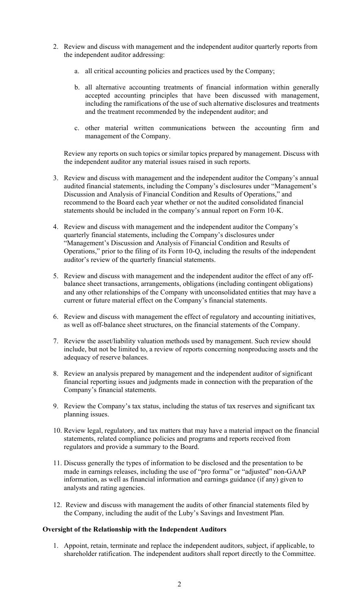- 2. Review and discuss with management and the independent auditor quarterly reports from the independent auditor addressing:
	- a. all critical accounting policies and practices used by the Company;
	- b. all alternative accounting treatments of financial information within generally accepted accounting principles that have been discussed with management, including the ramifications of the use of such alternative disclosures and treatments and the treatment recommended by the independent auditor; and
	- c. other material written communications between the accounting firm and management of the Company.

Review any reports on such topics or similar topics prepared by management. Discuss with the independent auditor any material issues raised in such reports.

- 3. Review and discuss with management and the independent auditor the Company's annual audited financial statements, including the Company's disclosures under "Management's Discussion and Analysis of Financial Condition and Results of Operations," and recommend to the Board each year whether or not the audited consolidated financial statements should be included in the company's annual report on Form 10-K.
- 4. Review and discuss with management and the independent auditor the Company's quarterly financial statements, including the Company's disclosures under "Management's Discussion and Analysis of Financial Condition and Results of Operations," prior to the filing of its Form 10-Q, including the results of the independent auditor's review of the quarterly financial statements.
- 5. Review and discuss with management and the independent auditor the effect of any offbalance sheet transactions, arrangements, obligations (including contingent obligations) and any other relationships of the Company with unconsolidated entities that may have a current or future material effect on the Company's financial statements.
- 6. Review and discuss with management the effect of regulatory and accounting initiatives, as well as off-balance sheet structures, on the financial statements of the Company.
- 7. Review the asset/liability valuation methods used by management. Such review should include, but not be limited to, a review of reports concerning nonproducing assets and the adequacy of reserve balances.
- 8. Review an analysis prepared by management and the independent auditor of significant financial reporting issues and judgments made in connection with the preparation of the Company's financial statements.
- 9. Review the Company's tax status, including the status of tax reserves and significant tax planning issues.
- 10. Review legal, regulatory, and tax matters that may have a material impact on the financial statements, related compliance policies and programs and reports received from regulators and provide a summary to the Board.
- 11. Discuss generally the types of information to be disclosed and the presentation to be made in earnings releases, including the use of "pro forma" or "adjusted" non-GAAP information, as well as financial information and earnings guidance (if any) given to analysts and rating agencies.
- 12. Review and discuss with management the audits of other financial statements filed by the Company, including the audit of the Luby's Savings and Investment Plan.

#### **Oversight of the Relationship with the Independent Auditors**

1. Appoint, retain, terminate and replace the independent auditors, subject, if applicable, to shareholder ratification. The independent auditors shall report directly to the Committee.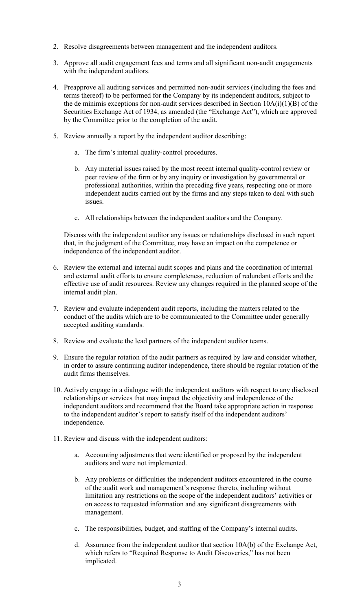- 2. Resolve disagreements between management and the independent auditors.
- 3. Approve all audit engagement fees and terms and all significant non-audit engagements with the independent auditors.
- 4. Preapprove all auditing services and permitted non-audit services (including the fees and terms thereof) to be performed for the Company by its independent auditors, subject to the de minimis exceptions for non-audit services described in Section  $10A(i)(1)(B)$  of the Securities Exchange Act of 1934, as amended (the "Exchange Act"), which are approved by the Committee prior to the completion of the audit.
- 5. Review annually a report by the independent auditor describing:
	- a. The firm's internal quality-control procedures.
	- b. Any material issues raised by the most recent internal quality-control review or peer review of the firm or by any inquiry or investigation by governmental or professional authorities, within the preceding five years, respecting one or more independent audits carried out by the firms and any steps taken to deal with such issues.
	- c. All relationships between the independent auditors and the Company.

Discuss with the independent auditor any issues or relationships disclosed in such report that, in the judgment of the Committee, may have an impact on the competence or independence of the independent auditor.

- 6. Review the external and internal audit scopes and plans and the coordination of internal and external audit efforts to ensure completeness, reduction of redundant efforts and the effective use of audit resources. Review any changes required in the planned scope of the internal audit plan.
- 7. Review and evaluate independent audit reports, including the matters related to the conduct of the audits which are to be communicated to the Committee under generally accepted auditing standards.
- 8. Review and evaluate the lead partners of the independent auditor teams.
- 9. Ensure the regular rotation of the audit partners as required by law and consider whether, in order to assure continuing auditor independence, there should be regular rotation of the audit firms themselves.
- 10. Actively engage in a dialogue with the independent auditors with respect to any disclosed relationships or services that may impact the objectivity and independence of the independent auditors and recommend that the Board take appropriate action in response to the independent auditor's report to satisfy itself of the independent auditors' independence.
- 11. Review and discuss with the independent auditors:
	- a. Accounting adjustments that were identified or proposed by the independent auditors and were not implemented.
	- b. Any problems or difficulties the independent auditors encountered in the course of the audit work and management's response thereto, including without limitation any restrictions on the scope of the independent auditors' activities or on access to requested information and any significant disagreements with management.
	- c. The responsibilities, budget, and staffing of the Company's internal audits.
	- d. Assurance from the independent auditor that section  $10A(b)$  of the Exchange Act, which refers to "Required Response to Audit Discoveries," has not been implicated.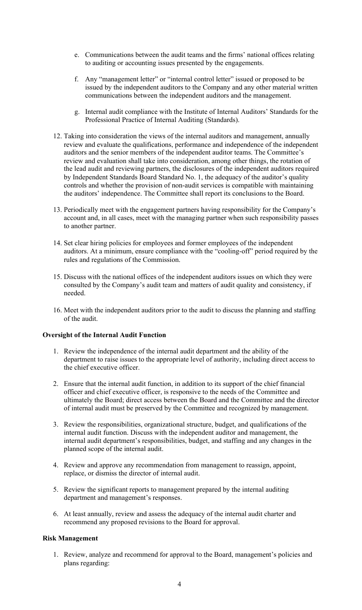- e. Communications between the audit teams and the firms' national offices relating to auditing or accounting issues presented by the engagements.
- f. Any "management letter" or "internal control letter" issued or proposed to be issued by the independent auditors to the Company and any other material written communications between the independent auditors and the management.
- g. Internal audit compliance with the Institute of Internal Auditors' Standards for the Professional Practice of Internal Auditing (Standards).
- 12. Taking into consideration the views of the internal auditors and management, annually review and evaluate the qualifications, performance and independence of the independent auditors and the senior members of the independent auditor teams. The Committee's review and evaluation shall take into consideration, among other things, the rotation of the lead audit and reviewing partners, the disclosures of the independent auditors required by Independent Standards Board Standard No. 1, the adequacy of the auditor's quality controls and whether the provision of non-audit services is compatible with maintaining the auditors' independence. The Committee shall report its conclusions to the Board.
- 13. Periodically meet with the engagement partners having responsibility for the Company's account and, in all cases, meet with the managing partner when such responsibility passes to another partner.
- 14. Set clear hiring policies for employees and former employees of the independent auditors. At a minimum, ensure compliance with the "cooling-off" period required by the rules and regulations of the Commission.
- 15. Discuss with the national offices of the independent auditors issues on which they were consulted by the Company's audit team and matters of audit quality and consistency, if needed.
- 16. Meet with the independent auditors prior to the audit to discuss the planning and staffing of the audit.

# **Oversight of the Internal Audit Function**

- 1. Review the independence of the internal audit department and the ability of the department to raise issues to the appropriate level of authority, including direct access to the chief executive officer.
- 2. Ensure that the internal audit function, in addition to its support of the chief financial officer and chief executive officer, is responsive to the needs of the Committee and ultimately the Board; direct access between the Board and the Committee and the director of internal audit must be preserved by the Committee and recognized by management.
- 3. Review the responsibilities, organizational structure, budget, and qualifications of the internal audit function. Discuss with the independent auditor and management, the internal audit department's responsibilities, budget, and staffing and any changes in the planned scope of the internal audit.
- 4. Review and approve any recommendation from management to reassign, appoint, replace, or dismiss the director of internal audit.
- 5. Review the significant reports to management prepared by the internal auditing department and management's responses.
- 6. At least annually, review and assess the adequacy of the internal audit charter and recommend any proposed revisions to the Board for approval.

# **Risk Management**

1. Review, analyze and recommend for approval to the Board, management's policies and plans regarding: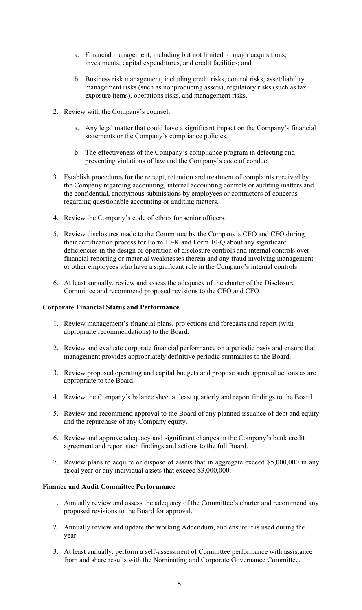- a. Financial management, including but not limited to major acquisitions, investments, capital expenditures, and credit facilities; and
- b. Business risk management, including credit risks, control risks, asset/liability management risks (such as nonproducing assets), regulatory risks (such as tax exposure items), operations risks, and management risks.
- 2. Review with the Company's counsel:
	- a. Any legal matter that could have a significant impact on the Company's financial statements or the Company's compliance policies.
	- b. The effectiveness of the Company's compliance program in detecting and preventing violations of law and the Company's code of conduct.
- 3. Establish procedures for the receipt, retention and treatment of complaints received by the Company regarding accounting, internal accounting controls or auditing matters and the confidential, anonymous submissions by employees or contractors of concerns regarding questionable accounting or auditing matters.
- 4. Review the Company's code of ethics for senior officers.
- 5. Review disclosures made to the Committee by the Company's CEO and CFO during their certification process for Form 10-K and Form 10-Q about any significant deficiencies in the design or operation of disclosure controls and internal controls over financial reporting or material weaknesses therein and any fraud involving management or other employees who have a significant role in the Company's internal controls.
- 6. At least annually, review and assess the adequacy of the charter of the Disclosure Committee and recommend proposed revisions to the CEO and CFO.

#### **Corporate Financial Status and Performance**

- 1. Review management's financial plans, projections and forecasts and report (with appropriate recommendations) to the Board.
- 2. Review and evaluate corporate financial performance on a periodic basis and ensure that management provides appropriately definitive periodic summaries to the Board.
- 3. Review proposed operating and capital budgets and propose such approval actions as are appropriate to the Board.
- 4. Review the Company's balance sheet at least quarterly and report findings to the Board.
- 5. Review and recommend approval to the Board of any planned issuance of debt and equity and the repurchase of any Company equity.
- 6. Review and approve adequacy and significant changes in the Company's bank credit agreement and report such findings and actions to the full Board.
- 7. Review plans to acquire or dispose of assets that in aggregate exceed \$5,000,000 in any fiscal year or any individual assets that exceed \$3,000,000.

#### **Finance and Audit Committee Performance**

- 1. Annually review and assess the adequacy of the Committee's charter and recommend any proposed revisions to the Board for approval.
- 2. Annually review and update the working Addendum, and ensure it is used during the year.
- 3. At least annually, perform a self-assessment of Committee performance with assistance from and share results with the Nominating and Corporate Governance Committee.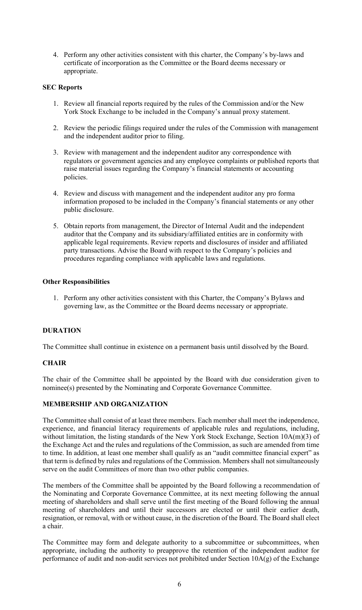4. Perform any other activities consistent with this charter, the Company's by-laws and certificate of incorporation as the Committee or the Board deems necessary or appropriate.

# **SEC Reports**

- 1. Review all financial reports required by the rules of the Commission and/or the New York Stock Exchange to be included in the Company's annual proxy statement.
- 2. Review the periodic filings required under the rules of the Commission with management and the independent auditor prior to filing.
- 3. Review with management and the independent auditor any correspondence with regulators or government agencies and any employee complaints or published reports that raise material issues regarding the Company's financial statements or accounting policies.
- 4. Review and discuss with management and the independent auditor any pro forma information proposed to be included in the Company's financial statements or any other public disclosure.
- 5. Obtain reports from management, the Director of Internal Audit and the independent auditor that the Company and its subsidiary/affiliated entities are in conformity with applicable legal requirements. Review reports and disclosures of insider and affiliated party transactions. Advise the Board with respect to the Company's policies and procedures regarding compliance with applicable laws and regulations.

#### **Other Responsibilities**

1. Perform any other activities consistent with this Charter, the Company's Bylaws and governing law, as the Committee or the Board deems necessary or appropriate.

# **DURATION**

The Committee shall continue in existence on a permanent basis until dissolved by the Board.

# **CHAIR**

The chair of the Committee shall be appointed by the Board with due consideration given to nominee(s) presented by the Nominating and Corporate Governance Committee.

# **MEMBERSHIP AND ORGANIZATION**

The Committee shall consist of at least three members. Each member shall meet the independence, experience, and financial literacy requirements of applicable rules and regulations, including, without limitation, the listing standards of the New York Stock Exchange, Section 10A(m)(3) of the Exchange Act and the rules and regulations of the Commission, as such are amended from time to time. In addition, at least one member shall qualify as an "audit committee financial expert" as that term is defined by rules and regulations of the Commission. Members shall not simultaneously serve on the audit Committees of more than two other public companies.

The members of the Committee shall be appointed by the Board following a recommendation of the Nominating and Corporate Governance Committee, at its next meeting following the annual meeting of shareholders and shall serve until the first meeting of the Board following the annual meeting of shareholders and until their successors are elected or until their earlier death, resignation, or removal, with or without cause, in the discretion of the Board. The Board shall elect a chair.

The Committee may form and delegate authority to a subcommittee or subcommittees, when appropriate, including the authority to preapprove the retention of the independent auditor for performance of audit and non-audit services not prohibited under Section 10A(g) of the Exchange